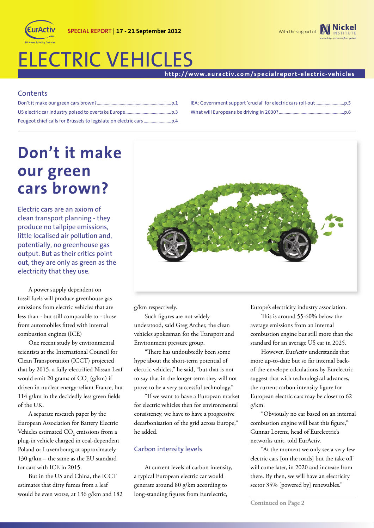# ELECTRIC VEHICLES

### **http://www.euractiv.com/specialreport-electric-vehicles**

# **Contents**

# **Don't it make our green cars brown?**

Electric cars are an axiom of clean transport planning - they produce no tailpipe emissions, little localised air pollution and, potentially, no greenhouse gas output. But as their critics point out, they are only as green as the electricity that they use.

A power supply dependent on fossil fuels will produce greenhouse gas emissions from electric vehicles that are less than - but still comparable to - those from automobiles fitted with internal combustion engines (ICE)

One recent study by environmental scientists at the International Council for Clean Transportation (ICCT) projected that by 2015, a fully-electrified Nissan Leaf would emit 20 grams of  $\mathrm{CO}_2^{\textrm{}}\left(\text{g/km}\right)$  if driven in nuclear energy-reliant France, but 114 g/km in the decidedly less green fields of the UK.

A separate research paper by the European Association for Battery Electric Vehicles estimated  $\mathrm{CO}_2$  emissions from a plug-in vehicle charged in coal-dependent Poland or Luxembourg at approximately 130 g/km – the same as the EU standard for cars with ICE in 2015.

But in the US and China, the ICCT estimates that dirty fumes from a leaf would be even worse, at 136 g/km and 182



g/km respectively.

Such figures are not widely understood, said Greg Archer, the clean vehicles spokesman for the Transport and Environment pressure group.

"There has undoubtedly been some hype about the short-term potential of electric vehicles," he said, "but that is not to say that in the longer term they will not prove to be a very successful technology."

"If we want to have a European market for electric vehicles then for environmental consistency, we have to have a progressive decarbonisation of the grid across Europe," he added.

### Carbon intensity levels

At current levels of carbon intensity, a typical European electric car would generate around 80 g/km according to long-standing figures from Eurelectric,

Europe's electricity industry association.

This is around 55-60% below the average emissions from an internal combustion engine but still more than the standard for an average US car in 2025.

However, EurActiv understands that more up-to-date but so far internal backof-the-envelope calculations by Eurelectric suggest that with technological advances, the current carbon intensity figure for European electric cars may be closer to 62 g/km.

"Obviously no car based on an internal combustion engine will beat this figure," Gunnar Lorenz, head of Eurelectric's networks unit, told EurActiv.

"At the moment we only see a very few electric cars [on the roads] but the take off will come later, in 2020 and increase from there. By then, we will have an electricity sector 35% [powered by] renewables."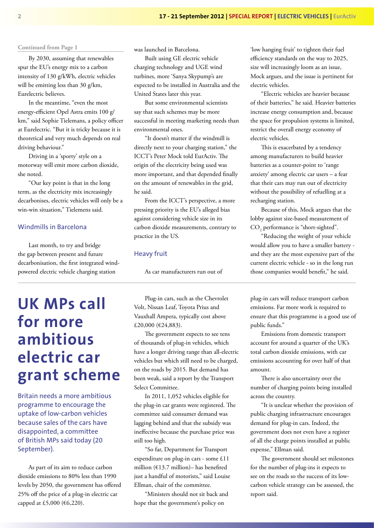#### **Continued from Page 1**

By 2030, assuming that renewables spur the EU's energy mix to a carbon intensity of 130 g/kWh, electric vehicles will be emitting less than 30 g/km, Eurelectric believes.

In the meantime, "even the most energy-efficient Opel Astra emits 100 g/ km," said Sophie Tielemans, a policy officer at Eurelectric. "But it is tricky because it is theoretical and very much depends on real driving behaviour."

Driving in a 'sporty' style on a motorway will emit more carbon dioxide, she noted.

"Our key point is that in the long term, as the electricity mix increasingly decarbonises, electric vehicles will only be a win-win situation," Tielemens said.

#### Windmills in Barcelona

Last month, to try and bridge the gap between present and future decarbonisation, the first integrated windpowered electric vehicle charging station

# **UK MPs call for more ambitious electric car grant scheme**

Britain needs a more ambitious programme to encourage the uptake of low-carbon vehicles because sales of the cars have disappointed, a committee of British MPs said today (20 September).

As part of its aim to reduce carbon dioxide emissions to 80% less than 1990 levels by 2050, the government has offered 25% off the price of a plug-in electric car capped at £5,000 (€6,220).

was launched in Barcelona.

Built using GE electric vehicle charging technology and UGE wind turbines, more 'Sanya Skypump's are expected to be installed in Australia and the United States later this year.

But some environmental scientists say that such schemes may be more successful in meeting marketing needs than environmental ones.

"It doesn't matter if the windmill is directly next to your charging station," the ICCT's Peter Mock told EurActiv. The origin of the electricity being used was more important, and that depended finally on the amount of renewables in the grid, he said.

From the ICCT's perspective, a more pressing priority is the EU's alleged bias against considering vehicle size in its carbon dioxide measurements, contrary to practice in the US.

#### Heavy fruit

As car manufacturers run out of

Plug-in cars, such as the Chevrolet Volt, Nissan Leaf, Toyota Prius and Vauxhall Ampera, typically cost above £20,000 (€24,883).

The government expects to see tens of thousands of plug-in vehicles, which have a longer driving range than all-electric vehicles but which still need to be charged, on the roads by 2015. But demand has been weak, said a report by the Transport Select Committee.

In 2011, 1,052 vehicles eligible for the plug-in car grants were registered. The committee said consumer demand was lagging behind and that the subsidy was ineffective because the purchase price was still too high.

"So far, Department for Transport expenditure on plug-in cars - some £11 million (€13.7 million)– has benefited just a handful of motorists," said Louise Ellman, chair of the committee.

"Ministers should not sit back and hope that the government's policy on

'low hanging fruit' to tighten their fuel efficiency standards on the way to 2025, size will increasingly loom as an issue, Mock argues, and the issue is pertinent for electric vehicles.

"Electric vehicles are heavier because of their batteries," he said. Heavier batteries increase energy consumption and, because the space for propulsion systems is limited, restrict the overall energy economy of electric vehicles.

This is exacerbated by a tendency among manufacturers to build heavier batteries as a counter-point to 'range anxiety' among electric car users – a fear that their cars may run out of electricity without the possibility of refuelling at a recharging station.

Because of this, Mock argues that the lobby against size-based measurement of  $CO<sub>2</sub>$  performance is "short-sighted".

"Reducing the weight of your vehicle would allow you to have a smaller battery and they are the most expensive part of the current electric vehicle - so in the long run those companies would benefit," he said.

plug-in cars will reduce transport carbon emissions. Far more work is required to ensure that this programme is a good use of public funds."

Emissions from domestic transport account for around a quarter of the UK's total carbon dioxide emissions, with car emissions accounting for over half of that amount.

There is also uncertainty over the number of charging points being installed across the country.

"It is unclear whether the provision of public charging infrastructure encourages demand for plug-in cars. Indeed, the government does not even have a register of all the charge points installed at public expense," Ellman said.

The government should set milestones for the number of plug-ins it expects to see on the roads so the success of its lowcarbon vehicle strategy can be assessed, the report said.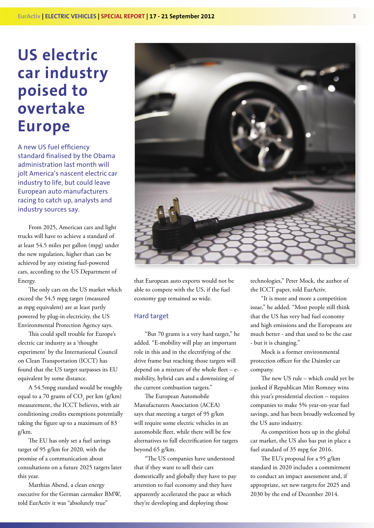# **US electric car industry poised to overtake Europe**

A new US fuel efficiency standard finalised by the Obama administration last month will jolt America's nascent electric car industry to life, but could leave European auto manufacturers racing to catch up, analysts and industry sources say.

From 2025, American cars and light trucks will have to achieve a standard of at least 54.5 miles per gallon (mpg) under the new regulation, higher than can be achieved by any existing fuel-powered cars, according to the US Department of Energy.

The only cars on the US market which exceed the 54.5 mpg target (measured as mpg equivalent) are at least partly powered by plug-in electricity, the US Environmental Protection Agency says.

This could spell trouble for Europe's electric car industry as a 'thought experiment' by the International Council on Clean Transportation (ICCT) has found that the US target surpasses its EU equivalent by some distance.

A 54.5mpg standard would be roughly equal to a 70 grams of  $\mathrm{CO}_2$  per km (g/km) measurement, the ICCT believes, with air conditioning credits exemptions potentially taking the figure up to a maximum of 83 g/km.

The EU has only set a fuel savings target of 95 g/km for 2020, with the promise of a communication about consultations on a future 2025 targets later this year.

Matthias Abend, a clean energy executive for the German carmaker BMW, told EurActiv it was "absolutely true"



that European auto exports would not be able to compete with the US, if the fuel economy gap remained so wide.

#### Hard target

beyond 65 g/km.

"But 70 grams is a very hard target," he added. "E-mobility will play an important role in this and in the electrifying of the drive frame but reaching those targets will depend on a mixture of the whole fleet  $-e$ mobility, hybrid cars and a downsizing of the current combustion targets."

The European Automobile Manufacturers Association (ACEA) says that meeting a target of 95 g/km will require some electric vehicles in an automobile fleet, while there will be few alternatives to full electrification for targets

"The US companies have understood that if they want to sell their cars domestically and globally they have to pay attention to fuel economy and they have apparently accelerated the pace at which they're developing and deploying those

technologies," Peter Mock, the author of the ICCT paper, told EurActiv.

"It is more and more a competition issue," he added. "Most people still think that the US has very bad fuel economy and high emissions and the Europeans are much better - and that used to be the case - but it is changing."

Mock is a former environmental protection officer for the Daimler car company.

The new US rule – which could yet be junked if Republican Mitt Romney wins this year's presidential election – requires companies to make 5% year-on-year fuel savings, and has been broadly welcomed by the US auto industry.

As competition hots up in the global car market, the US also has put in place a fuel standard of 35 mpg for 2016.

The EU's proposal for a 95  $g$ /km standard in 2020 includes a commitment to conduct an impact assessment and, if appropriate, set new targets for 2025 and 2030 by the end of December 2014.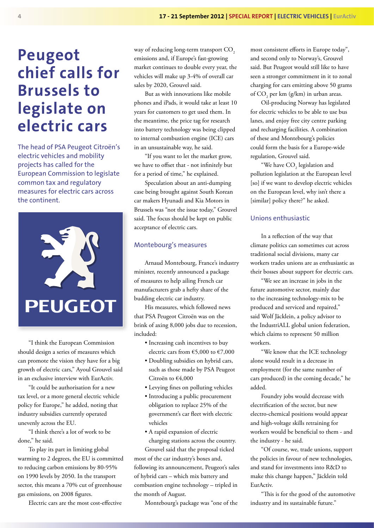# **Peugeot chief calls for Brussels to legislate on electric cars**

The head of PSA Peugeot Citroën's electric vehicles and mobility projects has called for the European Commission to legislate common tax and regulatory measures for electric cars across the continent.



"I think the European Commission should design a series of measures which can promote the vision they have for a big growth of electric cars," Ayoul Grouvel said in an exclusive interview with EurActiv.

"It could be authorisation for a new tax level, or a more general electric vehicle policy for Europe," he added, noting that industry subsidies currently operated unevenly across the EU.

"I think there's a lot of work to be done," he said.

To play its part in limiting global warming to 2 degrees, the EU is committed to reducing carbon emissions by 80-95% on 1990 levels by 2050. In the transport sector, this means a 70% cut of greenhouse gas emissions, on 2008 figures.

Electric cars are the most cost-effective

way of reducing long-term transport CO<sub>2</sub> emissions and, if Europe's fast-growing market continues to double every year, the vehicles will make up 3-4% of overall car sales by 2020, Grouvel said.

But as with innovations like mobile phones and iPads, it would take at least 10 years for customers to get used them. In the meantime, the price tag for research into battery technology was being clipped to internal combustion engine (ICE) cars in an unsustainable way, he said.

"If you want to let the market grow, we have to offset that - not infinitely but for a period of time," he explained.

Speculation about an anti-dumping case being brought against South Korean car makers Hyunadi and Kia Motors in Brussels was "not the issue today," Grouvel said. The focus should be kept on public acceptance of electric cars.

### Montebourg's measures

Arnaud Montebourg, France's industry minister, recently announced a package of measures to help ailing French car manufacturers grab a hefty share of the budding electric car industry.

His measures, which followed news that PSA Peugeot Citroën was on the brink of axing 8,000 jobs due to recession, included:

- Increasing cash incentives to buy electric cars from €5,000 to €7,000
- Doubling subsidies on hybrid cars, such as those made by PSA Peugeot Citroën to €4,000
- Levying fines on polluting vehicles
- Introducing a public procurement obligation to replace 25% of the government's car fleet with electric vehicles
- A rapid expansion of electric charging stations across the country.

Grouvel said that the proposal ticked most of the car industry's boxes and, following its announcement, Peugeot's sales of hybrid cars – which mix battery and combustion engine technology – tripled in the month of August.

Montebourg's package was "one of the

most consistent efforts in Europe today", and second only to Norway's, Grouvel said. But Peugeot would still like to have seen a stronger commitment in it to zonal charging for cars emitting above 50 grams of  $CO_2$  per km (g/km) in urban areas.

Oil-producing Norway has legislated for electric vehicles to be able to use bus lanes, and enjoy free city centre parking and recharging facilities. A combination of these and Montebourg's policies could form the basis for a Europe-wide regulation, Grouvel said.

"We have  $\mathrm{CO}_2$  legislation and pollution legislation at the European level [so] if we want to develop electric vehicles on the European level, why isn't there a [similar] policy there?" he asked.

### Unions enthusiastic

In a reflection of the way that climate politics can sometimes cut across traditional social divisions, many car workers trades unions are as enthusiastic as their bosses about support for electric cars.

"We see an increase in jobs in the future automotive sector, mainly due to the increasing technology-mix to be produced and serviced and repaired," said Wolf Jäcklein, a policy advisor to the IndustriALL global union federation, which claims to represent 50 million workers.

"We know that the ICE technology alone would result in a decrease in employment (for the same number of cars produced) in the coming decade," he added.

Foundry jobs would decrease with electrification of the sector, but new electro-chemical positions would appear and high-voltage skills retraining for workers would be beneficial to them - and the industry - he said.

"Of course, we, trade unions, support the policies in favour of new technologies, and stand for investments into R&D to make this change happen," Jäcklein told EurActiv.

"This is for the good of the automotive" industry and its sustainable future."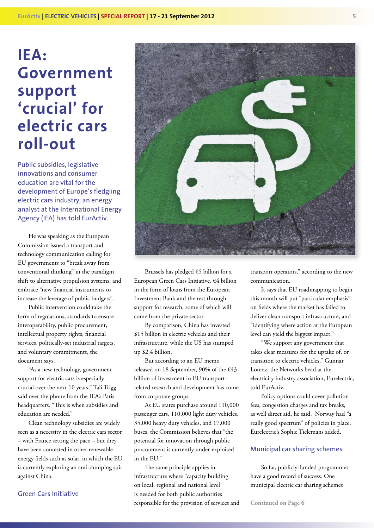# **IEA: Government support 'crucial' for electric cars roll-out**

Public subsidies, legislative innovations and consumer education are vital for the development of Europe's fledgling electric cars industry, an energy analyst at the International Energy Agency (IEA) has told EurActiv.

He was speaking as the European Commission issued a transport and technology communication calling for EU governments to "break away from conventional thinking" in the paradigm shift to alternative propulsion systems, and embrace "new financial instruments to increase the leverage of public budgets".

Public intervention could take the form of regulations, standards to ensure interoperability, public procurement, intellectual property rights, financial services, politically-set industrial targets, and voluntary commitments, the document says.

"As a new technology, government support for electric cars is especially crucial over the next 10 years," Tali Trigg said over the phone from the IEA's Paris headquarters. "This is when subsidies and education are needed."

Clean technology subsidies are widely seen as a necessity in the electric cars sector – with France setting the pace – but they have been contested in other renewable energy fields such as solar, in which the EU is currently exploring an anti-dumping suit against China.

# Green Cars Initiative



Brussels has pledged €5 billion for a European Green Cars Initiative, €4 billion in the form of loans from the European Investment Bank and the rest through support for research, some of which will come from the private sector.

By comparison, China has invested \$15 billion in electric vehicles and their infrastructure, while the US has stumped up \$2.4 billion.

But according to an EU memo released on 18 September, 90% of the €43 billion of investment in EU transportrelated research and development has come from corporate groups.

As EU states purchase around 110,000 passenger cars, 110,000 light duty vehicles, 35,000 heavy duty vehicles, and 17,000 buses, the Commission believes that "the potential for innovation through public procurement is currently under-exploited in the EU."

The same principle applies in infrastructure where "capacity building on local, regional and national level is needed for both public authorities responsible for the provision of services and

transport operators," according to the new communication.

It says that EU roadmapping to begin this month will put "particular emphasis" on fields where the market has failed to deliver clean transport infrastructure, and "identifying where action at the European level can yield the biggest impact."

"We support any government that takes clear measures for the uptake of, or transition to electric vehicles," Gunnar Lorenz, the Networks head at the electricity industry association, Eurelectric, told EurActiv.

Policy options could cover pollution fees, congestion charges and tax breaks, as well direct aid, he said. Norway had "a really good spectrum" of policies in place, Eurelectric's Sophie Tielemans added.

### Municipal car sharing schemes

So far, publicly-funded programmes have a good record of success. One municipal electric car sharing schemes

**Continued on Page 6**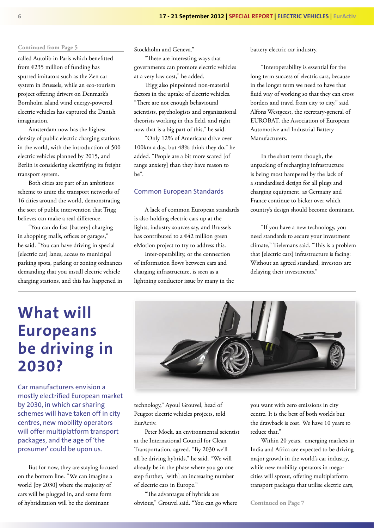#### **Continued from Page 5**

called Autolib in Paris which benefitted from €235 million of funding has spurred imitators such as the Zen car system in Brussels, while an eco-tourism project offering drivers on Denmark's Bornholm island wind energy-powered electric vehicles has captured the Danish imagination.

Amsterdam now has the highest density of public electric charging stations in the world, with the introduction of 500 electric vehicles planned by 2015, and Berlin is considering electrifying its freight transport system.

Both cities are part of an ambitious scheme to unite the transport networks of 16 cities around the world, demonstrating the sort of public intervention that Trigg believes can make a real difference.

"You can do fast [battery] charging in shopping malls, offices or garages," he said. "You can have driving in special [electric car] lanes, access to municipal parking spots, parking or zoning ordnances demanding that you install electric vehicle charging stations, and this has happened in Stockholm and Geneva."

"These are interesting ways that governments can promote electric vehicles at a very low cost," he added.

Trigg also pinpointed non-material factors in the uptake of electric vehicles. "There are not enough behavioural scientists, psychologists and organisational theorists working in this field, and right now that is a big part of this," he said.

"Only 12% of Americans drive over 100km a day, but 48% think they do," he added. "People are a bit more scared [of range anxiety] than they have reason to be".

#### Common European Standards

A lack of common European standards is also holding electric cars up at the lights, industry sources say, and Brussels has contributed to a  $€42$  million green eMotion project to try to address this.

Inter-operability, or the connection of information flows between cars and charging infrastructure, is seen as a lightning conductor issue by many in the battery electric car industry.

"Interoperability is essential for the long term success of electric cars, because in the longer term we need to have that fluid way of working so that they can cross borders and travel from city to city," said Alfons Westgeest, the secretary-general of EUROBAT, the Association of European Automotive and Industrial Battery Manufacturers.

In the short term though, the unpacking of recharging infrastructure is being most hampered by the lack of a standardised design for all plugs and charging equipment, as Germany and France continue to bicker over which country's design should become dominant.

"If you have a new technology, you need standards to secure your investment climate," Tielemans said. "This is a problem that [electric cars] infrastructure is facing: Without an agreed standard, investors are delaying their investments."

# **What will Europeans be driving in 2030?**

Car manufacturers envision a mostly electrified European market by 2030, in which car sharing schemes will have taken off in city centres, new mobility operators will offer multiplatform transport packages, and the age of 'the prosumer' could be upon us.

But for now, they are staying focused on the bottom line. "We can imagine a world [by 2030] where the majority of cars will be plugged in, and some form of hybridisation will be the dominant



technology," Ayoul Grouvel, head of Peugeot electric vehicles projects, told EurActiv.

Peter Mock, an environmental scientist at the International Council for Clean Transportation, agreed. "By 2030 we'll all be driving hybrids," he said. "We will already be in the phase where you go one step further, [with] an increasing number of electric cars in Europe."

"The advantages of hybrids are obvious," Grouvel said. "You can go where you want with zero emissions in city centre. It is the best of both worlds but the drawback is cost. We have 10 years to reduce that."

Within 20 years, emerging markets in India and Africa are expected to be driving major growth in the world's car industry, while new mobility operators in megacities will sprout, offering multiplatform transport packages that utilise electric cars,

**Continued on Page 7**